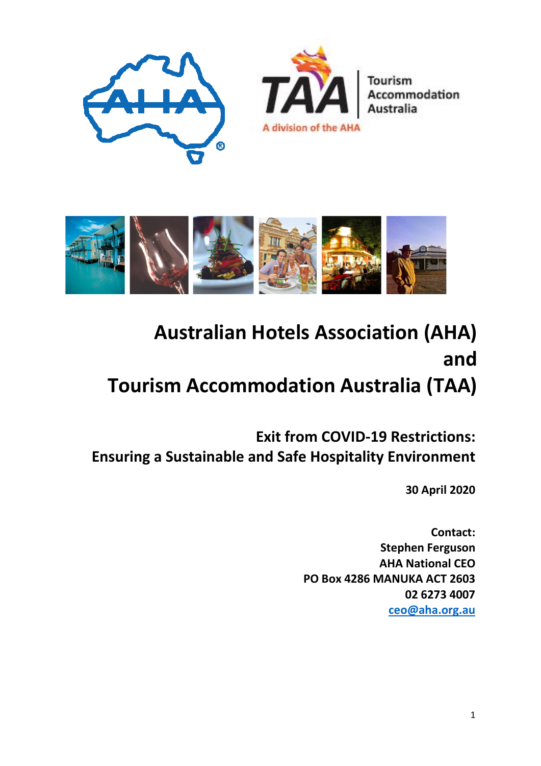



# **Australian Hotels Association (AHA) and Tourism Accommodation Australia (TAA)**

**Exit from COVID-19 Restrictions: Ensuring a Sustainable and Safe Hospitality Environment**

**30 April 2020**

**Contact: Stephen Ferguson AHA National CEO PO Box 4286 MANUKA ACT 2603 02 6273 4007 [ceo@aha.org.au](mailto:ceo@aha.org.au)**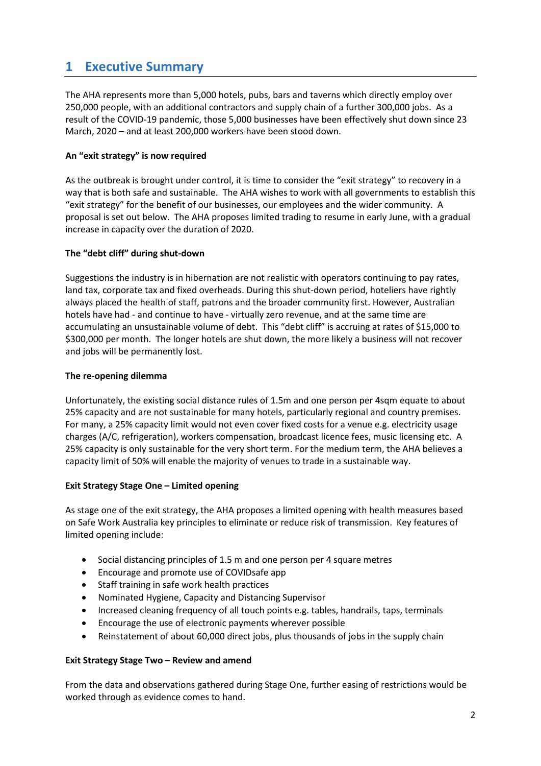## **1 Executive Summary**

The AHA represents more than 5,000 hotels, pubs, bars and taverns which directly employ over 250,000 people, with an additional contractors and supply chain of a further 300,000 jobs. As a result of the COVID-19 pandemic, those 5,000 businesses have been effectively shut down since 23 March, 2020 – and at least 200,000 workers have been stood down.

#### **An "exit strategy" is now required**

As the outbreak is brought under control, it is time to consider the "exit strategy" to recovery in a way that is both safe and sustainable. The AHA wishes to work with all governments to establish this "exit strategy" for the benefit of our businesses, our employees and the wider community. A proposal is set out below. The AHA proposes limited trading to resume in early June, with a gradual increase in capacity over the duration of 2020.

#### **The "debt cliff" during shut-down**

Suggestions the industry is in hibernation are not realistic with operators continuing to pay rates, land tax, corporate tax and fixed overheads. During this shut-down period, hoteliers have rightly always placed the health of staff, patrons and the broader community first. However, Australian hotels have had - and continue to have - virtually zero revenue, and at the same time are accumulating an unsustainable volume of debt. This "debt cliff" is accruing at rates of \$15,000 to \$300,000 per month. The longer hotels are shut down, the more likely a business will not recover and jobs will be permanently lost.

#### **The re-opening dilemma**

Unfortunately, the existing social distance rules of 1.5m and one person per 4sqm equate to about 25% capacity and are not sustainable for many hotels, particularly regional and country premises. For many, a 25% capacity limit would not even cover fixed costs for a venue e.g. electricity usage charges (A/C, refrigeration), workers compensation, broadcast licence fees, music licensing etc. A 25% capacity is only sustainable for the very short term. For the medium term, the AHA believes a capacity limit of 50% will enable the majority of venues to trade in a sustainable way.

#### **Exit Strategy Stage One – Limited opening**

As stage one of the exit strategy, the AHA proposes a limited opening with health measures based on Safe Work Australia key principles to eliminate or reduce risk of transmission. Key features of limited opening include:

- Social distancing principles of 1.5 m and one person per 4 square metres
- Encourage and promote use of COVIDsafe app
- Staff training in safe work health practices
- Nominated Hygiene, Capacity and Distancing Supervisor
- Increased cleaning frequency of all touch points e.g. tables, handrails, taps, terminals
- Encourage the use of electronic payments wherever possible
- Reinstatement of about 60,000 direct jobs, plus thousands of jobs in the supply chain

#### **Exit Strategy Stage Two – Review and amend**

From the data and observations gathered during Stage One, further easing of restrictions would be worked through as evidence comes to hand.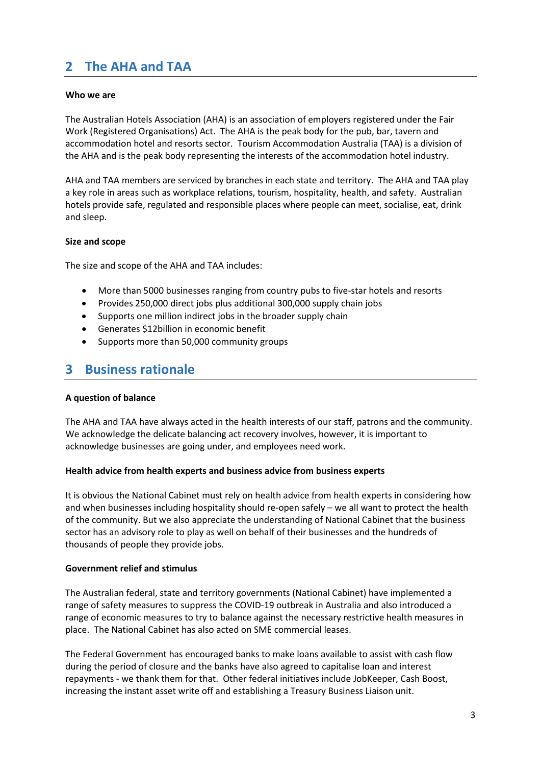## **2 The AHA and TAA**

#### **Who we are**

The Australian Hotels Association (AHA) is an association of employers registered under the Fair Work (Registered Organisations) Act. The AHA is the peak body for the pub, bar, tavern and accommodation hotel and resorts sector. Tourism Accommodation Australia (TAA) is a division of the AHA and is the peak body representing the interests of the accommodation hotel industry.

AHA and TAA members are serviced by branches in each state and territory. The AHA and TAA play a key role in areas such as workplace relations, tourism, hospitality, health, and safety. Australian hotels provide safe, regulated and responsible places where people can meet, socialise, eat, drink and sleep.

#### **Size and scope**

The size and scope of the AHA and TAA includes:

- More than 5000 businesses ranging from country pubs to five-star hotels and resorts
- Provides 250,000 direct jobs plus additional 300,000 supply chain jobs
- Supports one million indirect jobs in the broader supply chain
- Generates \$12billion in economic benefit
- Supports more than 50,000 community groups

### **3 Business rationale**

#### **A question of balance**

The AHA and TAA have always acted in the health interests of our staff, patrons and the community. We acknowledge the delicate balancing act recovery involves, however, it is important to acknowledge businesses are going under, and employees need work.

#### **Health advice from health experts and business advice from business experts**

It is obvious the National Cabinet must rely on health advice from health experts in considering how and when businesses including hospitality should re-open safely – we all want to protect the health of the community. But we also appreciate the understanding of National Cabinet that the business sector has an advisory role to play as well on behalf of their businesses and the hundreds of thousands of people they provide jobs.

#### **Government relief and stimulus**

The Australian federal, state and territory governments (National Cabinet) have implemented a range of safety measures to suppress the COVID-19 outbreak in Australia and also introduced a range of economic measures to try to balance against the necessary restrictive health measures in place. The National Cabinet has also acted on SME commercial leases.

The Federal Government has encouraged banks to make loans available to assist with cash flow during the period of closure and the banks have also agreed to capitalise loan and interest repayments - we thank them for that. Other federal initiatives include JobKeeper, Cash Boost, increasing the instant asset write off and establishing a Treasury Business Liaison unit.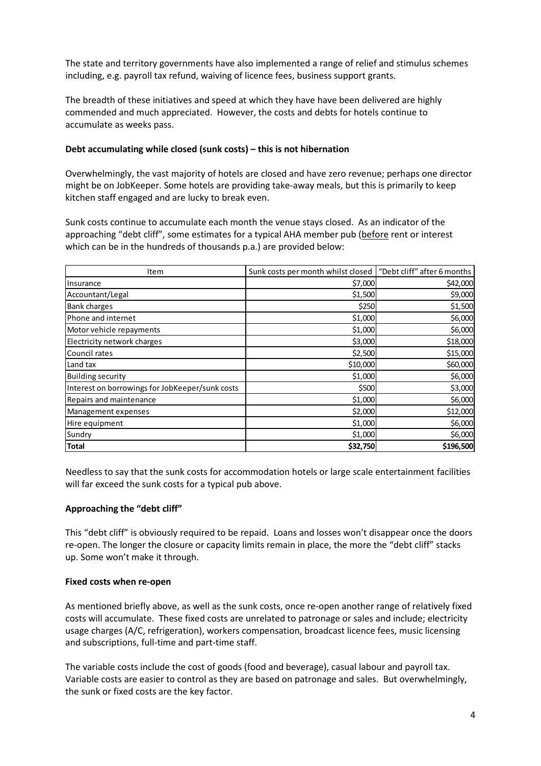The state and territory governments have also implemented a range of relief and stimulus schemes including, e.g. payroll tax refund, waiving of licence fees, business support grants.

The breadth of these initiatives and speed at which they have have been delivered are highly commended and much appreciated. However, the costs and debts for hotels continue to accumulate as weeks pass.

#### **Debt accumulating while closed (sunk costs) – this is not hibernation**

Overwhelmingly, the vast majority of hotels are closed and have zero revenue; perhaps one director might be on JobKeeper. Some hotels are providing take-away meals, but this is primarily to keep kitchen staff engaged and are lucky to break even.

Sunk costs continue to accumulate each month the venue stays closed. As an indicator of the approaching "debt cliff", some estimates for a typical AHA member pub (before rent or interest which can be in the hundreds of thousands p.a.) are provided below:

| Item                                            | Sunk costs per month whilst closed | "Debt cliff" after 6 months |
|-------------------------------------------------|------------------------------------|-----------------------------|
| Insurance                                       | \$7,000                            | \$42,000                    |
| Accountant/Legal                                | \$1,500                            | \$9,000                     |
| <b>Bank charges</b>                             | \$250                              | \$1,500                     |
| Phone and internet                              | \$1,000                            | \$6,000                     |
| Motor vehicle repayments                        | \$1,000                            | \$6,000                     |
| Electricity network charges                     | \$3,000                            | \$18,000                    |
| Council rates                                   | \$2,500                            | \$15,000                    |
| Land tax                                        | \$10,000                           | \$60,000                    |
| <b>Building security</b>                        | \$1,000                            | \$6,000                     |
| Interest on borrowings for JobKeeper/sunk costs | \$500                              | \$3,000                     |
| Repairs and maintenance                         | \$1,000                            | \$6,000                     |
| Management expenses                             | \$2,000                            | \$12,000                    |
| Hire equipment                                  | \$1,000                            | \$6,000                     |
| Sundry                                          | \$1,000                            | \$6,000                     |
| <b>Total</b>                                    | \$32,750                           | \$196,500                   |

Needless to say that the sunk costs for accommodation hotels or large scale entertainment facilities will far exceed the sunk costs for a typical pub above.

#### **Approaching the "debt cliff"**

This "debt cliff" is obviously required to be repaid. Loans and losses won't disappear once the doors re-open. The longer the closure or capacity limits remain in place, the more the "debt cliff" stacks up. Some won't make it through.

#### **Fixed costs when re-open**

As mentioned briefly above, as well as the sunk costs, once re-open another range of relatively fixed costs will accumulate. These fixed costs are unrelated to patronage or sales and include; electricity usage charges (A/C, refrigeration), workers compensation, broadcast licence fees, music licensing and subscriptions, full-time and part-time staff.

The variable costs include the cost of goods (food and beverage), casual labour and payroll tax. Variable costs are easier to control as they are based on patronage and sales. But overwhelmingly, the sunk or fixed costs are the key factor.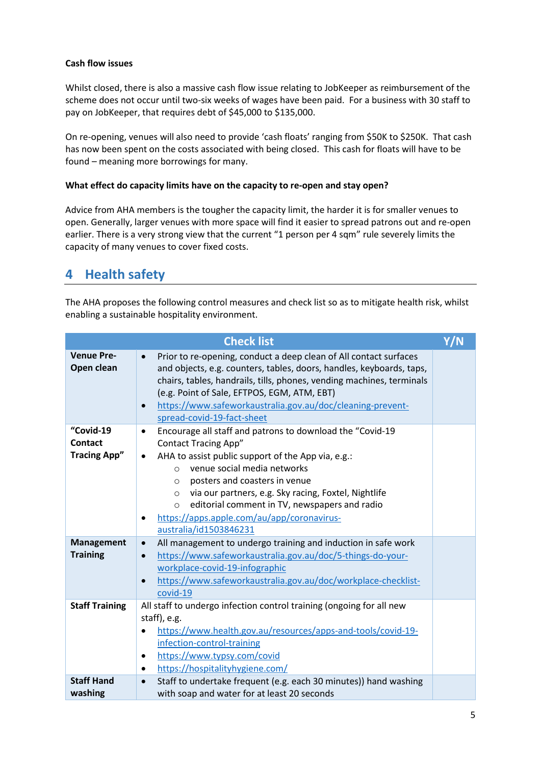#### **Cash flow issues**

Whilst closed, there is also a massive cash flow issue relating to JobKeeper as reimbursement of the scheme does not occur until two-six weeks of wages have been paid. For a business with 30 staff to pay on JobKeeper, that requires debt of \$45,000 to \$135,000.

On re-opening, venues will also need to provide 'cash floats' ranging from \$50K to \$250K. That cash has now been spent on the costs associated with being closed. This cash for floats will have to be found – meaning more borrowings for many.

#### **What effect do capacity limits have on the capacity to re-open and stay open?**

Advice from AHA members is the tougher the capacity limit, the harder it is for smaller venues to open. Generally, larger venues with more space will find it easier to spread patrons out and re-open earlier. There is a very strong view that the current "1 person per 4 sqm" rule severely limits the capacity of many venues to cover fixed costs.

## **4 Health safety**

The AHA proposes the following control measures and check list so as to mitigate health risk, whilst enabling a sustainable hospitality environment.

|                                             | <b>Check list</b>                                                                                                                                                                                                                                                                                                                                                                                                                                                            | Y/N |
|---------------------------------------------|------------------------------------------------------------------------------------------------------------------------------------------------------------------------------------------------------------------------------------------------------------------------------------------------------------------------------------------------------------------------------------------------------------------------------------------------------------------------------|-----|
| <b>Venue Pre-</b><br>Open clean             | Prior to re-opening, conduct a deep clean of All contact surfaces<br>$\bullet$<br>and objects, e.g. counters, tables, doors, handles, keyboards, taps,<br>chairs, tables, handrails, tills, phones, vending machines, terminals<br>(e.g. Point of Sale, EFTPOS, EGM, ATM, EBT)<br>https://www.safeworkaustralia.gov.au/doc/cleaning-prevent-<br>$\bullet$<br>spread-covid-19-fact-sheet                                                                                      |     |
| "Covid-19<br>Contact<br><b>Tracing App"</b> | Encourage all staff and patrons to download the "Covid-19<br>$\bullet$<br><b>Contact Tracing App"</b><br>AHA to assist public support of the App via, e.g.:<br>$\bullet$<br>venue social media networks<br>$\circ$<br>posters and coasters in venue<br>O<br>via our partners, e.g. Sky racing, Foxtel, Nightlife<br>$\circ$<br>editorial comment in TV, newspapers and radio<br>$\circ$<br>https://apps.apple.com/au/app/coronavirus-<br>$\bullet$<br>australia/id1503846231 |     |
| <b>Management</b><br><b>Training</b>        | All management to undergo training and induction in safe work<br>$\bullet$<br>https://www.safeworkaustralia.gov.au/doc/5-things-do-your-<br>$\bullet$<br>workplace-covid-19-infographic<br>https://www.safeworkaustralia.gov.au/doc/workplace-checklist-<br>$\bullet$<br>covid-19                                                                                                                                                                                            |     |
| <b>Staff Training</b>                       | All staff to undergo infection control training (ongoing for all new<br>staff), e.g.<br>https://www.health.gov.au/resources/apps-and-tools/covid-19-<br>$\bullet$<br>infection-control-training<br>https://www.typsy.com/covid<br>٠<br>https://hospitalityhygiene.com/<br>$\bullet$                                                                                                                                                                                          |     |
| <b>Staff Hand</b><br>washing                | Staff to undertake frequent (e.g. each 30 minutes)) hand washing<br>$\bullet$<br>with soap and water for at least 20 seconds                                                                                                                                                                                                                                                                                                                                                 |     |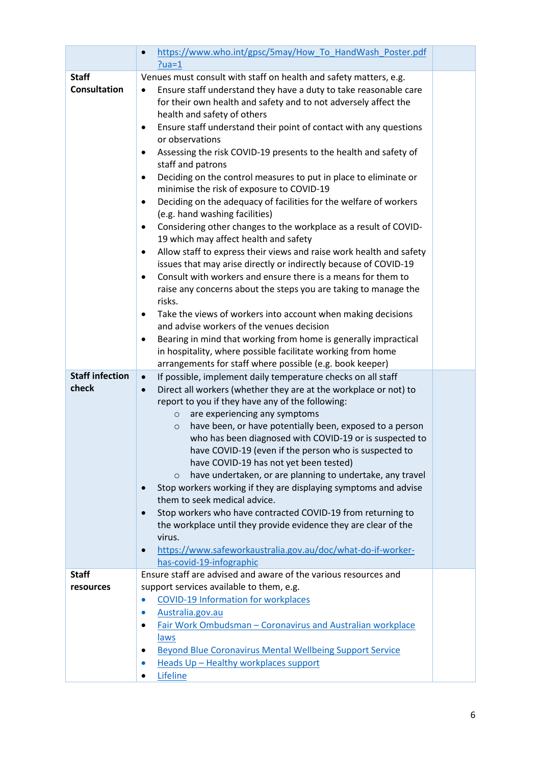|                                     | https://www.who.int/gpsc/5may/How To HandWash Poster.pdf<br>$\bullet$<br>$?ua=1$                                                                                                                                                                                                                                                                                                                                                                                                                                                                                                                                                                                                                                                                                                                                                                                                                                                                                                                                                                                                                                                                                                                                                                                                                                                |  |
|-------------------------------------|---------------------------------------------------------------------------------------------------------------------------------------------------------------------------------------------------------------------------------------------------------------------------------------------------------------------------------------------------------------------------------------------------------------------------------------------------------------------------------------------------------------------------------------------------------------------------------------------------------------------------------------------------------------------------------------------------------------------------------------------------------------------------------------------------------------------------------------------------------------------------------------------------------------------------------------------------------------------------------------------------------------------------------------------------------------------------------------------------------------------------------------------------------------------------------------------------------------------------------------------------------------------------------------------------------------------------------|--|
|                                     |                                                                                                                                                                                                                                                                                                                                                                                                                                                                                                                                                                                                                                                                                                                                                                                                                                                                                                                                                                                                                                                                                                                                                                                                                                                                                                                                 |  |
| <b>Staff</b><br><b>Consultation</b> | Venues must consult with staff on health and safety matters, e.g.<br>Ensure staff understand they have a duty to take reasonable care<br>$\bullet$<br>for their own health and safety and to not adversely affect the<br>health and safety of others<br>Ensure staff understand their point of contact with any questions<br>٠<br>or observations<br>Assessing the risk COVID-19 presents to the health and safety of<br>٠<br>staff and patrons<br>Deciding on the control measures to put in place to eliminate or<br>$\bullet$<br>minimise the risk of exposure to COVID-19<br>Deciding on the adequacy of facilities for the welfare of workers<br>٠<br>(e.g. hand washing facilities)<br>Considering other changes to the workplace as a result of COVID-<br>$\bullet$<br>19 which may affect health and safety<br>Allow staff to express their views and raise work health and safety<br>٠<br>issues that may arise directly or indirectly because of COVID-19<br>Consult with workers and ensure there is a means for them to<br>$\bullet$<br>raise any concerns about the steps you are taking to manage the<br>risks.<br>Take the views of workers into account when making decisions<br>$\bullet$<br>and advise workers of the venues decision<br>Bearing in mind that working from home is generally impractical<br>٠ |  |
|                                     |                                                                                                                                                                                                                                                                                                                                                                                                                                                                                                                                                                                                                                                                                                                                                                                                                                                                                                                                                                                                                                                                                                                                                                                                                                                                                                                                 |  |
|                                     | in hospitality, where possible facilitate working from home                                                                                                                                                                                                                                                                                                                                                                                                                                                                                                                                                                                                                                                                                                                                                                                                                                                                                                                                                                                                                                                                                                                                                                                                                                                                     |  |
| <b>Staff infection</b>              | arrangements for staff where possible (e.g. book keeper)                                                                                                                                                                                                                                                                                                                                                                                                                                                                                                                                                                                                                                                                                                                                                                                                                                                                                                                                                                                                                                                                                                                                                                                                                                                                        |  |
| check                               | If possible, implement daily temperature checks on all staff<br>$\bullet$<br>Direct all workers (whether they are at the workplace or not) to<br>$\bullet$<br>report to you if they have any of the following:<br>are experiencing any symptoms<br>$\circ$<br>have been, or have potentially been, exposed to a person<br>$\circ$<br>who has been diagnosed with COVID-19 or is suspected to<br>have COVID-19 (even if the person who is suspected to<br>have COVID-19 has not yet been tested)<br>have undertaken, or are planning to undertake, any travel<br>$\circ$<br>Stop workers working if they are displaying symptoms and advise<br>$\bullet$<br>them to seek medical advice.<br>Stop workers who have contracted COVID-19 from returning to<br>$\bullet$<br>the workplace until they provide evidence they are clear of the<br>virus.<br>https://www.safeworkaustralia.gov.au/doc/what-do-if-worker-<br>$\bullet$<br>has-covid-19-infographic                                                                                                                                                                                                                                                                                                                                                                        |  |
| <b>Staff</b>                        | Ensure staff are advised and aware of the various resources and                                                                                                                                                                                                                                                                                                                                                                                                                                                                                                                                                                                                                                                                                                                                                                                                                                                                                                                                                                                                                                                                                                                                                                                                                                                                 |  |
| resources                           | support services available to them, e.g.                                                                                                                                                                                                                                                                                                                                                                                                                                                                                                                                                                                                                                                                                                                                                                                                                                                                                                                                                                                                                                                                                                                                                                                                                                                                                        |  |
|                                     | <b>COVID-19 Information for workplaces</b><br>$\bullet$                                                                                                                                                                                                                                                                                                                                                                                                                                                                                                                                                                                                                                                                                                                                                                                                                                                                                                                                                                                                                                                                                                                                                                                                                                                                         |  |
|                                     | Australia.gov.au<br>$\bullet$                                                                                                                                                                                                                                                                                                                                                                                                                                                                                                                                                                                                                                                                                                                                                                                                                                                                                                                                                                                                                                                                                                                                                                                                                                                                                                   |  |
|                                     | Fair Work Ombudsman - Coronavirus and Australian workplace                                                                                                                                                                                                                                                                                                                                                                                                                                                                                                                                                                                                                                                                                                                                                                                                                                                                                                                                                                                                                                                                                                                                                                                                                                                                      |  |
|                                     | <u>laws</u>                                                                                                                                                                                                                                                                                                                                                                                                                                                                                                                                                                                                                                                                                                                                                                                                                                                                                                                                                                                                                                                                                                                                                                                                                                                                                                                     |  |
|                                     | <b>Beyond Blue Coronavirus Mental Wellbeing Support Service</b><br>٠<br>Heads Up - Healthy workplaces support<br>$\bullet$                                                                                                                                                                                                                                                                                                                                                                                                                                                                                                                                                                                                                                                                                                                                                                                                                                                                                                                                                                                                                                                                                                                                                                                                      |  |
|                                     | Lifeline                                                                                                                                                                                                                                                                                                                                                                                                                                                                                                                                                                                                                                                                                                                                                                                                                                                                                                                                                                                                                                                                                                                                                                                                                                                                                                                        |  |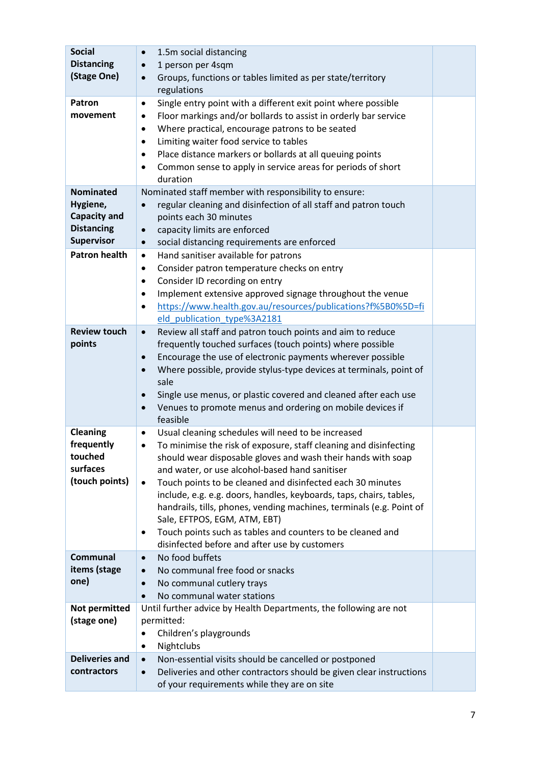| <b>Social</b><br><b>Distancing</b><br>(Stage One)<br>Patron<br>movement                       | 1.5m social distancing<br>$\bullet$<br>1 person per 4sqm<br>$\bullet$<br>Groups, functions or tables limited as per state/territory<br>$\bullet$<br>regulations<br>Single entry point with a different exit point where possible<br>$\bullet$<br>Floor markings and/or bollards to assist in orderly bar service<br>٠<br>Where practical, encourage patrons to be seated<br>$\bullet$<br>Limiting waiter food service to tables<br>$\bullet$                                                                                                                                                                                              |  |
|-----------------------------------------------------------------------------------------------|-------------------------------------------------------------------------------------------------------------------------------------------------------------------------------------------------------------------------------------------------------------------------------------------------------------------------------------------------------------------------------------------------------------------------------------------------------------------------------------------------------------------------------------------------------------------------------------------------------------------------------------------|--|
|                                                                                               | Place distance markers or bollards at all queuing points<br>$\bullet$<br>Common sense to apply in service areas for periods of short<br>$\bullet$<br>duration                                                                                                                                                                                                                                                                                                                                                                                                                                                                             |  |
| <b>Nominated</b><br>Hygiene,<br><b>Capacity and</b><br><b>Distancing</b><br><b>Supervisor</b> | Nominated staff member with responsibility to ensure:<br>regular cleaning and disinfection of all staff and patron touch<br>$\bullet$<br>points each 30 minutes<br>capacity limits are enforced<br>$\bullet$<br>social distancing requirements are enforced<br>$\bullet$                                                                                                                                                                                                                                                                                                                                                                  |  |
| <b>Patron health</b>                                                                          | Hand sanitiser available for patrons<br>$\bullet$<br>Consider patron temperature checks on entry<br>$\bullet$<br>Consider ID recording on entry<br>$\bullet$<br>Implement extensive approved signage throughout the venue<br>$\bullet$<br>https://www.health.gov.au/resources/publications?f%5B0%5D=fi<br>$\bullet$<br>eld publication type%3A2181                                                                                                                                                                                                                                                                                        |  |
| <b>Review touch</b><br>points                                                                 | Review all staff and patron touch points and aim to reduce<br>$\bullet$<br>frequently touched surfaces (touch points) where possible<br>Encourage the use of electronic payments wherever possible<br>$\bullet$<br>Where possible, provide stylus-type devices at terminals, point of<br>$\bullet$<br>sale<br>Single use menus, or plastic covered and cleaned after each use<br>$\bullet$<br>Venues to promote menus and ordering on mobile devices if<br>$\bullet$<br>feasible                                                                                                                                                          |  |
| <b>Cleaning</b><br>frequently<br>touched<br>surfaces<br>(touch points)                        | Usual cleaning schedules will need to be increased<br>$\bullet$<br>To minimise the risk of exposure, staff cleaning and disinfecting<br>٠<br>should wear disposable gloves and wash their hands with soap<br>and water, or use alcohol-based hand sanitiser<br>Touch points to be cleaned and disinfected each 30 minutes<br>$\bullet$<br>include, e.g. e.g. doors, handles, keyboards, taps, chairs, tables,<br>handrails, tills, phones, vending machines, terminals (e.g. Point of<br>Sale, EFTPOS, EGM, ATM, EBT)<br>Touch points such as tables and counters to be cleaned and<br>٠<br>disinfected before and after use by customers |  |
| <b>Communal</b><br>items (stage<br>one)                                                       | No food buffets<br>$\bullet$<br>No communal free food or snacks<br>$\bullet$<br>No communal cutlery trays<br>$\bullet$<br>No communal water stations<br>$\bullet$                                                                                                                                                                                                                                                                                                                                                                                                                                                                         |  |
| Not permitted<br>(stage one)                                                                  | Until further advice by Health Departments, the following are not<br>permitted:<br>Children's playgrounds<br>Nightclubs<br>٠                                                                                                                                                                                                                                                                                                                                                                                                                                                                                                              |  |
| <b>Deliveries and</b><br>contractors                                                          | Non-essential visits should be cancelled or postponed<br>$\bullet$<br>Deliveries and other contractors should be given clear instructions<br>$\bullet$<br>of your requirements while they are on site                                                                                                                                                                                                                                                                                                                                                                                                                                     |  |